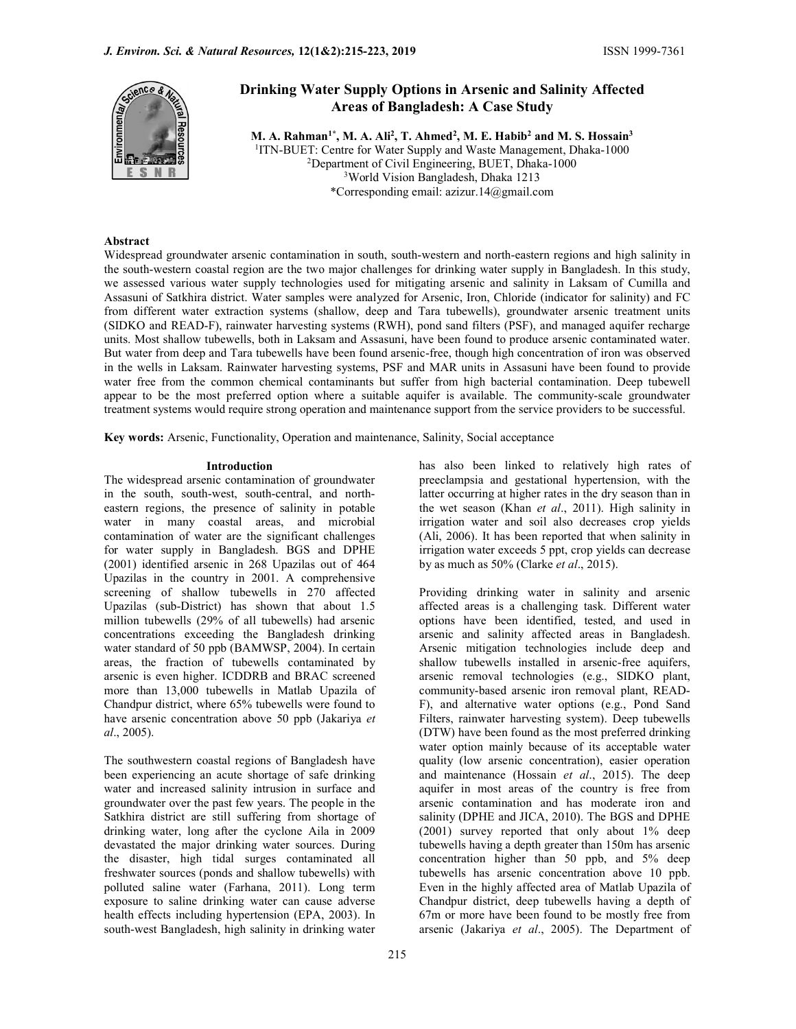

# Drinking Water Supply Options in Arsenic and Salinity Affected Areas of Bangladesh: A Case Study

M. A. Rahman<sup>1\*</sup>, M. A. Ali<sup>2</sup>, T. Ahmed<sup>2</sup>, M. E. Habib<sup>2</sup> and M. S. Hossain<sup>3</sup> <sup>1</sup> ITN-BUET: Centre for Water Supply and Waste Management, Dhaka-1000 <sup>2</sup>Department of Civil Engineering, BUET, Dhaka-1000 <sup>3</sup>World Vision Bangladesh, Dhaka 1213 \*Corresponding email: azizur.14@gmail.com

#### Abstract

Widespread groundwater arsenic contamination in south, south-western and north-eastern regions and high salinity in the south-western coastal region are the two major challenges for drinking water supply in Bangladesh. In this study, we assessed various water supply technologies used for mitigating arsenic and salinity in Laksam of Cumilla and Assasuni of Satkhira district. Water samples were analyzed for Arsenic, Iron, Chloride (indicator for salinity) and FC from different water extraction systems (shallow, deep and Tara tubewells), groundwater arsenic treatment units (SIDKO and READ-F), rainwater harvesting systems (RWH), pond sand filters (PSF), and managed aquifer recharge units. Most shallow tubewells, both in Laksam and Assasuni, have been found to produce arsenic contaminated water. But water from deep and Tara tubewells have been found arsenic-free, though high concentration of iron was observed in the wells in Laksam. Rainwater harvesting systems, PSF and MAR units in Assasuni have been found to provide water free from the common chemical contaminants but suffer from high bacterial contamination. Deep tubewell appear to be the most preferred option where a suitable aquifer is available. The community-scale groundwater treatment systems would require strong operation and maintenance support from the service providers to be successful.

Key words: Arsenic, Functionality, Operation and maintenance, Salinity, Social acceptance

#### Introduction

The widespread arsenic contamination of groundwater in the south, south-west, south-central, and northeastern regions, the presence of salinity in potable water in many coastal areas, and microbial contamination of water are the significant challenges for water supply in Bangladesh. BGS and DPHE (2001) identified arsenic in 268 Upazilas out of 464 Upazilas in the country in 2001. A comprehensive screening of shallow tubewells in 270 affected Upazilas (sub-District) has shown that about 1.5 million tubewells (29% of all tubewells) had arsenic concentrations exceeding the Bangladesh drinking water standard of 50 ppb (BAMWSP, 2004). In certain areas, the fraction of tubewells contaminated by arsenic is even higher. ICDDRB and BRAC screened more than 13,000 tubewells in Matlab Upazila of Chandpur district, where 65% tubewells were found to have arsenic concentration above 50 ppb (Jakariya et al., 2005).

The southwestern coastal regions of Bangladesh have been experiencing an acute shortage of safe drinking water and increased salinity intrusion in surface and groundwater over the past few years. The people in the Satkhira district are still suffering from shortage of drinking water, long after the cyclone Aila in 2009 devastated the major drinking water sources. During the disaster, high tidal surges contaminated all freshwater sources (ponds and shallow tubewells) with polluted saline water (Farhana, 2011). Long term exposure to saline drinking water can cause adverse health effects including hypertension (EPA, 2003). In south-west Bangladesh, high salinity in drinking water

has also been linked to relatively high rates of preeclampsia and gestational hypertension, with the latter occurring at higher rates in the dry season than in the wet season (Khan et al., 2011). High salinity in irrigation water and soil also decreases crop yields (Ali, 2006). It has been reported that when salinity in irrigation water exceeds 5 ppt, crop yields can decrease by as much as 50% (Clarke et al., 2015).

Providing drinking water in salinity and arsenic affected areas is a challenging task. Different water options have been identified, tested, and used in arsenic and salinity affected areas in Bangladesh. Arsenic mitigation technologies include deep and shallow tubewells installed in arsenic-free aquifers, arsenic removal technologies (e.g., SIDKO plant, community-based arsenic iron removal plant, READ-F), and alternative water options (e.g., Pond Sand Filters, rainwater harvesting system). Deep tubewells (DTW) have been found as the most preferred drinking water option mainly because of its acceptable water quality (low arsenic concentration), easier operation and maintenance (Hossain et al., 2015). The deep aquifer in most areas of the country is free from arsenic contamination and has moderate iron and salinity (DPHE and JICA, 2010). The BGS and DPHE (2001) survey reported that only about 1% deep tubewells having a depth greater than 150m has arsenic concentration higher than 50 ppb, and 5% deep tubewells has arsenic concentration above 10 ppb. Even in the highly affected area of Matlab Upazila of Chandpur district, deep tubewells having a depth of 67m or more have been found to be mostly free from arsenic (Jakariya et al., 2005). The Department of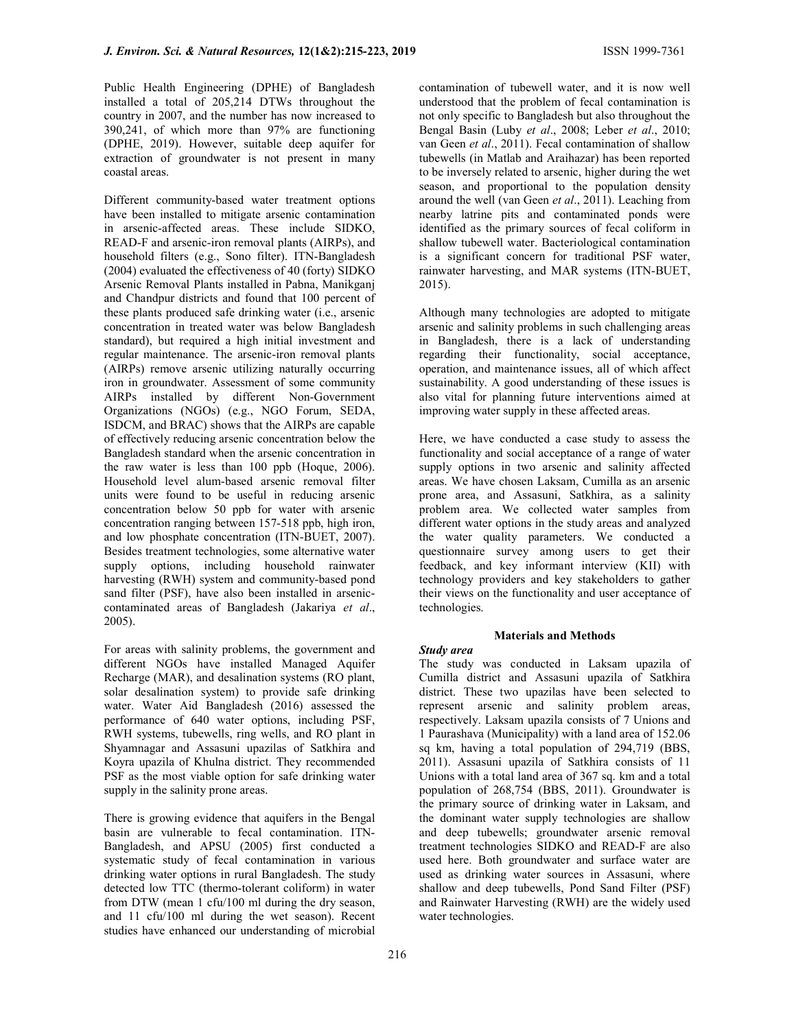Public Health Engineering (DPHE) of Bangladesh installed a total of 205,214 DTWs throughout the country in 2007, and the number has now increased to 390,241, of which more than 97% are functioning (DPHE, 2019). However, suitable deep aquifer for extraction of groundwater is not present in many coastal areas.

Different community-based water treatment options have been installed to mitigate arsenic contamination in arsenic-affected areas. These include SIDKO, READ-F and arsenic-iron removal plants (AIRPs), and household filters (e.g., Sono filter). ITN-Bangladesh (2004) evaluated the effectiveness of 40 (forty) SIDKO Arsenic Removal Plants installed in Pabna, Manikganj and Chandpur districts and found that 100 percent of these plants produced safe drinking water (i.e., arsenic concentration in treated water was below Bangladesh standard), but required a high initial investment and regular maintenance. The arsenic-iron removal plants (AIRPs) remove arsenic utilizing naturally occurring iron in groundwater. Assessment of some community AIRPs installed by different Non-Government Organizations (NGOs) (e.g., NGO Forum, SEDA, ISDCM, and BRAC) shows that the AIRPs are capable of effectively reducing arsenic concentration below the Bangladesh standard when the arsenic concentration in the raw water is less than 100 ppb (Hoque, 2006). Household level alum-based arsenic removal filter units were found to be useful in reducing arsenic concentration below 50 ppb for water with arsenic concentration ranging between 157-518 ppb, high iron, and low phosphate concentration (ITN-BUET, 2007). Besides treatment technologies, some alternative water supply options, including household rainwater harvesting (RWH) system and community-based pond sand filter (PSF), have also been installed in arseniccontaminated areas of Bangladesh (Jakariya et al., 2005).

For areas with salinity problems, the government and different NGOs have installed Managed Aquifer Recharge (MAR), and desalination systems (RO plant, solar desalination system) to provide safe drinking water. Water Aid Bangladesh (2016) assessed the performance of 640 water options, including PSF, RWH systems, tubewells, ring wells, and RO plant in Shyamnagar and Assasuni upazilas of Satkhira and Koyra upazila of Khulna district. They recommended PSF as the most viable option for safe drinking water supply in the salinity prone areas.

There is growing evidence that aquifers in the Bengal basin are vulnerable to fecal contamination. ITN-Bangladesh, and APSU (2005) first conducted a systematic study of fecal contamination in various drinking water options in rural Bangladesh. The study detected low TTC (thermo-tolerant coliform) in water from DTW (mean 1 cfu/100 ml during the dry season, and 11 cfu/100 ml during the wet season). Recent studies have enhanced our understanding of microbial

contamination of tubewell water, and it is now well understood that the problem of fecal contamination is not only specific to Bangladesh but also throughout the Bengal Basin (Luby et al., 2008; Leber et al., 2010; van Geen et al., 2011). Fecal contamination of shallow tubewells (in Matlab and Araihazar) has been reported to be inversely related to arsenic, higher during the wet season, and proportional to the population density around the well (van Geen et al., 2011). Leaching from nearby latrine pits and contaminated ponds were identified as the primary sources of fecal coliform in shallow tubewell water. Bacteriological contamination is a significant concern for traditional PSF water, rainwater harvesting, and MAR systems (ITN-BUET, 2015).

Although many technologies are adopted to mitigate arsenic and salinity problems in such challenging areas in Bangladesh, there is a lack of understanding regarding their functionality, social acceptance, operation, and maintenance issues, all of which affect sustainability. A good understanding of these issues is also vital for planning future interventions aimed at improving water supply in these affected areas.

Here, we have conducted a case study to assess the functionality and social acceptance of a range of water supply options in two arsenic and salinity affected areas. We have chosen Laksam, Cumilla as an arsenic prone area, and Assasuni, Satkhira, as a salinity problem area. We collected water samples from different water options in the study areas and analyzed the water quality parameters. We conducted a questionnaire survey among users to get their feedback, and key informant interview (KII) with technology providers and key stakeholders to gather their views on the functionality and user acceptance of technologies.

# Materials and Methods

## Study area

The study was conducted in Laksam upazila of Cumilla district and Assasuni upazila of Satkhira district. These two upazilas have been selected to represent arsenic and salinity problem areas, respectively. Laksam upazila consists of 7 Unions and 1 Paurashava (Municipality) with a land area of 152.06 sq km, having a total population of 294,719 (BBS, 2011). Assasuni upazila of Satkhira consists of 11 Unions with a total land area of 367 sq. km and a total population of 268,754 (BBS, 2011). Groundwater is the primary source of drinking water in Laksam, and the dominant water supply technologies are shallow and deep tubewells; groundwater arsenic removal treatment technologies SIDKO and READ-F are also used here. Both groundwater and surface water are used as drinking water sources in Assasuni, where shallow and deep tubewells, Pond Sand Filter (PSF) and Rainwater Harvesting (RWH) are the widely used water technologies.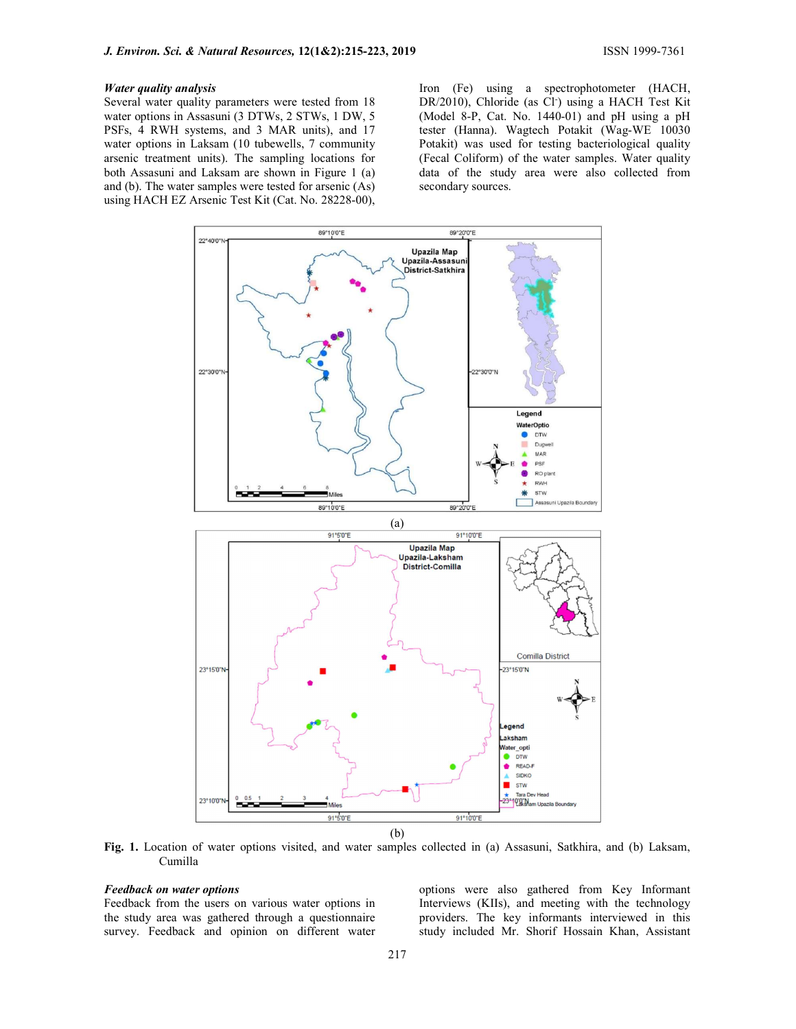#### Water quality analysis

Several water quality parameters were tested from 18 water options in Assasuni (3 DTWs, 2 STWs, 1 DW, 5 PSFs, 4 RWH systems, and 3 MAR units), and 17 water options in Laksam (10 tubewells, 7 community arsenic treatment units). The sampling locations for both Assasuni and Laksam are shown in Figure 1 (a) and (b). The water samples were tested for arsenic (As) using HACH EZ Arsenic Test Kit (Cat. No. 28228-00), Iron (Fe) using a spectrophotometer (HACH, DR/2010), Chloride (as Cl<sup>-</sup>) using a HACH Test Kit (Model 8-P, Cat. No. 1440-01) and pH using a pH tester (Hanna). Wagtech Potakit (Wag-WE 10030 Potakit) was used for testing bacteriological quality (Fecal Coliform) of the water samples. Water quality data of the study area were also collected from secondary sources.



Fig. 1. Location of water options visited, and water samples collected in (a) Assasuni, Satkhira, and (b) Laksam, Cumilla

#### Feedback on water options

Feedback from the users on various water options in the study area was gathered through a questionnaire survey. Feedback and opinion on different water options were also gathered from Key Informant Interviews (KIIs), and meeting with the technology providers. The key informants interviewed in this study included Mr. Shorif Hossain Khan, Assistant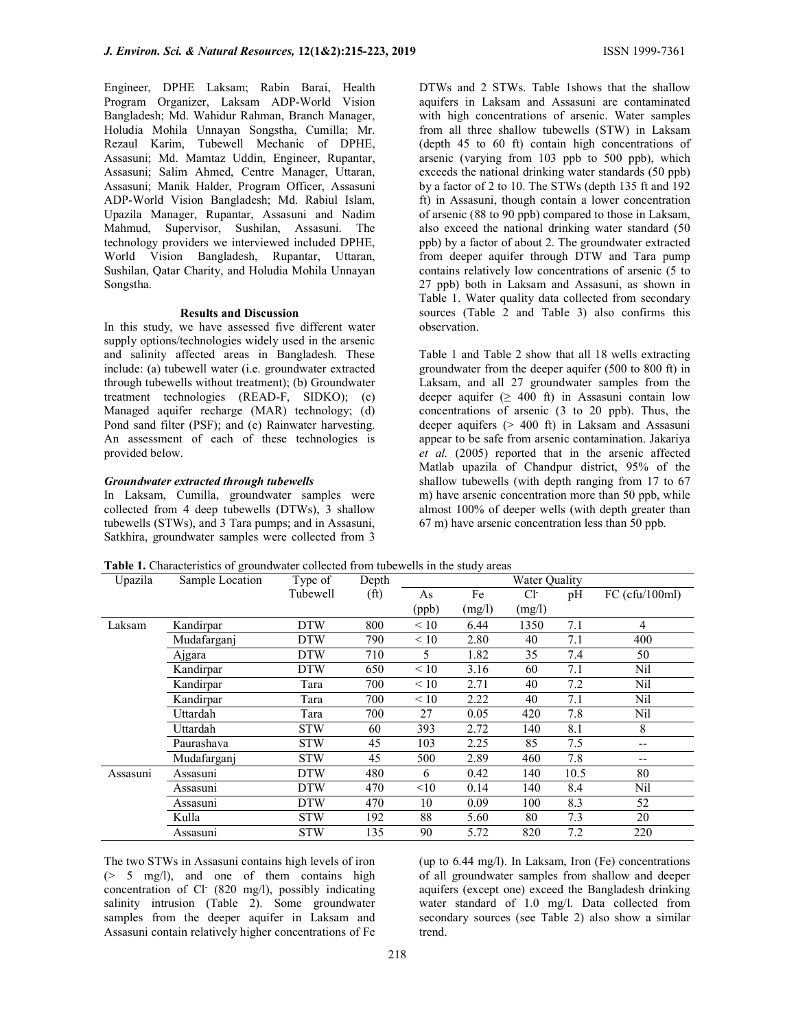Engineer, DPHE Laksam; Rabin Barai, Health Program Organizer, Laksam ADP-World Vision Bangladesh; Md. Wahidur Rahman, Branch Manager, Holudia Mohila Unnayan Songstha, Cumilla; Mr. Rezaul Karim, Tubewell Mechanic of DPHE, Assasuni; Md. Mamtaz Uddin, Engineer, Rupantar, Assasuni; Salim Ahmed, Centre Manager, Uttaran, Assasuni; Manik Halder, Program Officer, Assasuni ADP-World Vision Bangladesh; Md. Rabiul Islam, Upazila Manager, Rupantar, Assasuni and Nadim Mahmud, Supervisor, Sushilan, Assasuni. The technology providers we interviewed included DPHE, World Vision Bangladesh, Rupantar, Uttaran, Sushilan, Qatar Charity, and Holudia Mohila Unnayan Songstha.

#### Results and Discussion

In this study, we have assessed five different water supply options/technologies widely used in the arsenic and salinity affected areas in Bangladesh. These include: (a) tubewell water (i.e. groundwater extracted through tubewells without treatment); (b) Groundwater treatment technologies (READ-F, SIDKO); (c) Managed aquifer recharge (MAR) technology; (d) Pond sand filter (PSF); and (e) Rainwater harvesting. An assessment of each of these technologies is provided below.

#### Groundwater extracted through tubewells

In Laksam, Cumilla, groundwater samples were collected from 4 deep tubewells (DTWs), 3 shallow tubewells (STWs), and 3 Tara pumps; and in Assasuni, Satkhira, groundwater samples were collected from 3 DTWs and 2 STWs. Table 1shows that the shallow aquifers in Laksam and Assasuni are contaminated with high concentrations of arsenic. Water samples from all three shallow tubewells (STW) in Laksam (depth 45 to 60 ft) contain high concentrations of arsenic (varying from 103 ppb to 500 ppb), which exceeds the national drinking water standards (50 ppb) by a factor of 2 to 10. The STWs (depth 135 ft and 192 ft) in Assasuni, though contain a lower concentration of arsenic (88 to 90 ppb) compared to those in Laksam, also exceed the national drinking water standard (50 ppb) by a factor of about 2. The groundwater extracted from deeper aquifer through DTW and Tara pump contains relatively low concentrations of arsenic (5 to 27 ppb) both in Laksam and Assasuni, as shown in Table 1. Water quality data collected from secondary sources (Table 2 and Table 3) also confirms this observation.

Table 1 and Table 2 show that all 18 wells extracting groundwater from the deeper aquifer (500 to 800 ft) in Laksam, and all 27 groundwater samples from the deeper aquifer ( $\geq 400$  ft) in Assasuni contain low concentrations of arsenic (3 to 20 ppb). Thus, the deeper aquifers (> 400 ft) in Laksam and Assasuni appear to be safe from arsenic contamination. Jakariya et al. (2005) reported that in the arsenic affected Matlab upazila of Chandpur district, 95% of the shallow tubewells (with depth ranging from 17 to 67 m) have arsenic concentration more than 50 ppb, while almost 100% of deeper wells (with depth greater than 67 m) have arsenic concentration less than 50 ppb.

|  |  |  |  |  | Table 1. Characteristics of groundwater collected from tubewells in the study areas |
|--|--|--|--|--|-------------------------------------------------------------------------------------|
|--|--|--|--|--|-------------------------------------------------------------------------------------|

| Upazila  | Sample Location | Type of    | Depth             | Water Quality |        |        |      |                |
|----------|-----------------|------------|-------------------|---------------|--------|--------|------|----------------|
|          |                 | Tubewell   | (f <sup>t</sup> ) | As            | Fe     | $Cl-$  | pH   | FC (cfu/100ml) |
|          |                 |            |                   | (ppb)         | (mg/l) | (mg/l) |      |                |
| Laksam   | Kandirpar       | <b>DTW</b> | 800               | < 10          | 6.44   | 1350   | 7.1  | 4              |
|          | Mudafarganj     | <b>DTW</b> | 790               | < 10          | 2.80   | 40     | 7.1  | 400            |
|          | Ajgara          | <b>DTW</b> | 710               | 5             | 1.82   | 35     | 7.4  | 50             |
|          | Kandirpar       | <b>DTW</b> | 650               | < 10          | 3.16   | 60     | 7.1  | Nil            |
|          | Kandirpar       | Tara       | 700               | < 10          | 2.71   | 40     | 7.2  | Nil            |
|          | Kandirpar       | Tara       | 700               | < 10          | 2.22   | 40     | 7.1  | Nil            |
|          | Uttardah        | Tara       | 700               | 27            | 0.05   | 420    | 7.8  | Nil            |
|          | Uttardah        | <b>STW</b> | 60                | 393           | 2.72   | 140    | 8.1  | 8              |
|          | Paurashava      | <b>STW</b> | 45                | 103           | 2.25   | 85     | 7.5  | --             |
|          | Mudafarganj     | <b>STW</b> | 45                | 500           | 2.89   | 460    | 7.8  | --             |
| Assasuni | Assasuni        | <b>DTW</b> | 480               | 6             | 0.42   | 140    | 10.5 | 80             |
|          | Assasuni        | <b>DTW</b> | 470               | <10           | 0.14   | 140    | 8.4  | Nil            |
|          | Assasuni        | <b>DTW</b> | 470               | 10            | 0.09   | 100    | 8.3  | 52             |
|          | Kulla           | <b>STW</b> | 192               | 88            | 5.60   | 80     | 7.3  | 20             |
|          | Assasuni        | <b>STW</b> | 135               | 90            | 5.72   | 820    | 7.2  | 220            |

The two STWs in Assasuni contains high levels of iron  $(> 5 \text{ mg/l})$ , and one of them contains high concentration of Cl- (820 mg/l), possibly indicating salinity intrusion (Table 2). Some groundwater samples from the deeper aquifer in Laksam and Assasuni contain relatively higher concentrations of Fe

(up to 6.44 mg/l). In Laksam, Iron (Fe) concentrations of all groundwater samples from shallow and deeper aquifers (except one) exceed the Bangladesh drinking water standard of 1.0 mg/l. Data collected from secondary sources (see Table 2) also show a similar trend.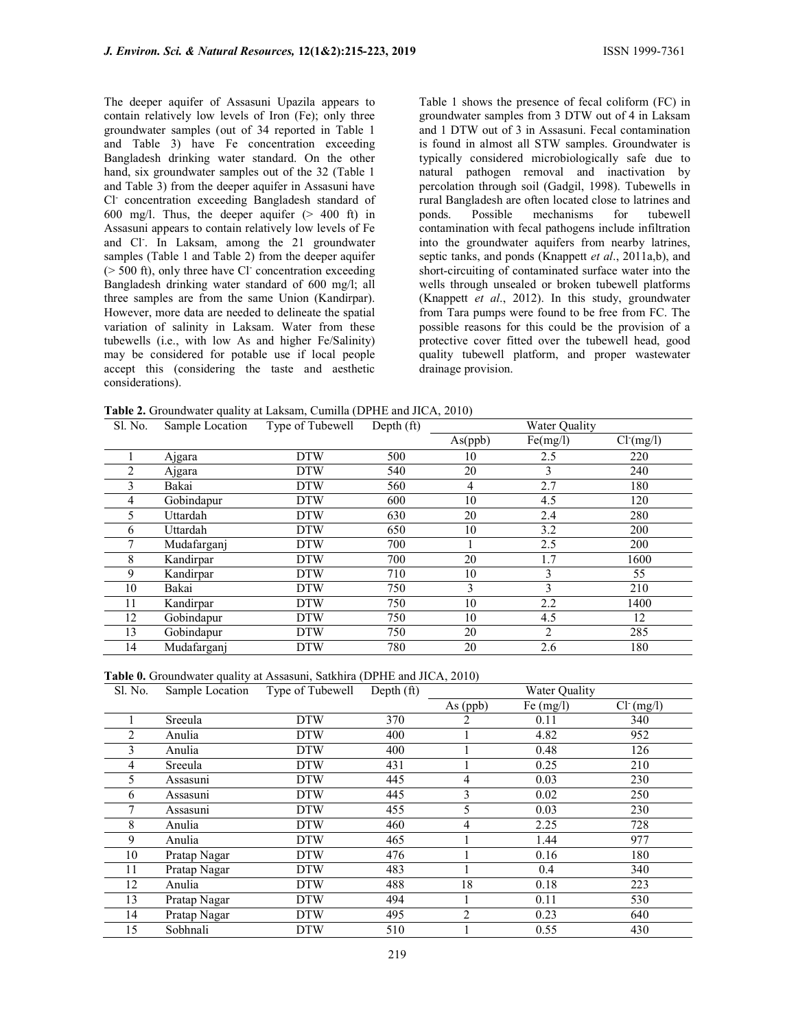The deeper aquifer of Assasuni Upazila appears to contain relatively low levels of Iron (Fe); only three groundwater samples (out of 34 reported in Table 1 and Table 3) have Fe concentration exceeding Bangladesh drinking water standard. On the other hand, six groundwater samples out of the 32 (Table 1 and Table 3) from the deeper aquifer in Assasuni have Cl- concentration exceeding Bangladesh standard of 600 mg/l. Thus, the deeper aquifer (> 400 ft) in Assasuni appears to contain relatively low levels of Fe and Cl- . In Laksam, among the 21 groundwater samples (Table 1 and Table 2) from the deeper aquifer (> 500 ft), only three have Cl- concentration exceeding Bangladesh drinking water standard of 600 mg/l; all three samples are from the same Union (Kandirpar). However, more data are needed to delineate the spatial variation of salinity in Laksam. Water from these tubewells (i.e., with low As and higher Fe/Salinity) may be considered for potable use if local people accept this (considering the taste and aesthetic considerations).

Table 1 shows the presence of fecal coliform (FC) in groundwater samples from 3 DTW out of 4 in Laksam and 1 DTW out of 3 in Assasuni. Fecal contamination is found in almost all STW samples. Groundwater is typically considered microbiologically safe due to natural pathogen removal and inactivation by percolation through soil (Gadgil, 1998). Tubewells in rural Bangladesh are often located close to latrines and ponds. Possible mechanisms for tubewell contamination with fecal pathogens include infiltration into the groundwater aquifers from nearby latrines, septic tanks, and ponds (Knappett et al., 2011a,b), and short-circuiting of contaminated surface water into the wells through unsealed or broken tubewell platforms (Knappett et al., 2012). In this study, groundwater from Tara pumps were found to be free from FC. The possible reasons for this could be the provision of a protective cover fitted over the tubewell head, good quality tubewell platform, and proper wastewater drainage provision.

Table 2. Groundwater quality at Laksam, Cumilla (DPHE and JICA, 2010)

| Sl. No. | Sample Location | Type of Tubewell | Depth (ft) | Water Quality |          |               |
|---------|-----------------|------------------|------------|---------------|----------|---------------|
|         |                 |                  |            | As(ppb)       | Fe(mg/l) | $Cl^{(mg/l)}$ |
|         | Ajgara          | <b>DTW</b>       | 500        | 10            | 2.5      | 220           |
| 2       | Ajgara          | <b>DTW</b>       | 540        | 20            | 3        | 240           |
|         | Bakai           | <b>DTW</b>       | 560        | 4             | 2.7      | 180           |
|         | Gobindapur      | <b>DTW</b>       | 600        | 10            | 4.5      | 120           |
| 5.      | Uttardah        | <b>DTW</b>       | 630        | 20            | 2.4      | 280           |
| h.      | Uttardah        | <b>DTW</b>       | 650        | 10            | 3.2      | 200           |
|         | Mudafarganj     | <b>DTW</b>       | 700        |               | 2.5      | 200           |
|         | Kandirpar       | <b>DTW</b>       | 700        | 20            | 1.7      | 1600          |
| 9       | Kandirpar       | <b>DTW</b>       | 710        | 10            | 3        | 55            |
| 10      | Bakai           | <b>DTW</b>       | 750        | 3             | 3        | 210           |
| 11      | Kandirpar       | <b>DTW</b>       | 750        | 10            | 2.2      | 1400          |
| 12      | Gobindapur      | <b>DTW</b>       | 750        | 10            | 4.5      | 12            |
| 13      | Gobindapur      | <b>DTW</b>       | 750        | 20            | 2        | 285           |
| 14      | Mudafarganj     | <b>DTW</b>       | 780        | 20            | 2.6      | 180           |

Table 0. Groundwater quality at Assasuni, Satkhira (DPHE and JICA, 2010)

| Sl. No. | Sample Location | Type of Tubewell | Depth $(ft)$ | Water Quality  |             |               |
|---------|-----------------|------------------|--------------|----------------|-------------|---------------|
|         |                 |                  |              | As (ppb)       | Fe $(mg/l)$ | $Cl^{(mg/l)}$ |
|         | Sreeula         | <b>DTW</b>       | 370          | 2              | 0.11        | 340           |
| 2       | Anulia          | <b>DTW</b>       | 400          |                | 4.82        | 952           |
| 3       | Anulia          | <b>DTW</b>       | 400          |                | 0.48        | 126           |
| 4       | Sreeula         | <b>DTW</b>       | 431          |                | 0.25        | 210           |
| 5       | Assasuni        | <b>DTW</b>       | 445          | 4              | 0.03        | 230           |
| 6       | Assasuni        | <b>DTW</b>       | 445          | 3              | 0.02        | 250           |
|         | Assasuni        | <b>DTW</b>       | 455          | 5              | 0.03        | 230           |
| 8       | Anulia          | <b>DTW</b>       | 460          | 4              | 2.25        | 728           |
| 9       | Anulia          | <b>DTW</b>       | 465          |                | 1.44        | 977           |
| 10      | Pratap Nagar    | <b>DTW</b>       | 476          |                | 0.16        | 180           |
| 11      | Pratap Nagar    | <b>DTW</b>       | 483          |                | 0.4         | 340           |
| 12      | Anulia          | <b>DTW</b>       | 488          | 18             | 0.18        | 223           |
| 13      | Pratap Nagar    | <b>DTW</b>       | 494          |                | 0.11        | 530           |
| 14      | Pratap Nagar    | <b>DTW</b>       | 495          | $\overline{2}$ | 0.23        | 640           |
| 15      | Sobhnali        | <b>DTW</b>       | 510          |                | 0.55        | 430           |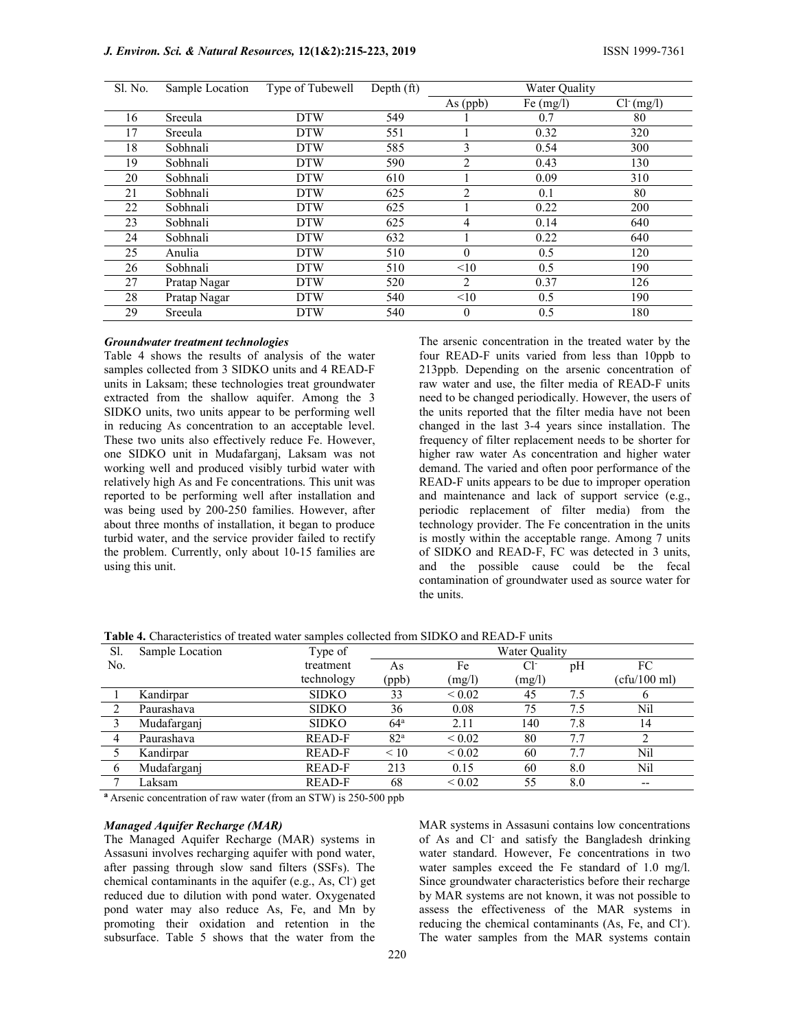| Sl. No. | Sample Location | Type of Tubewell | Depth $(ft)$ | Water Quality    |             |               |
|---------|-----------------|------------------|--------------|------------------|-------------|---------------|
|         |                 |                  |              | As (ppb)         | Fe $(mg/l)$ | $Cl^{(mg/l)}$ |
| 16      | Sreeula         | <b>DTW</b>       | 549          |                  | 0.7         | 80            |
| 17      | Sreeula         | <b>DTW</b>       | 551          |                  | 0.32        | 320           |
| 18      | Sobhnali        | <b>DTW</b>       | 585          | 3                | 0.54        | 300           |
| 19      | Sobhnali        | <b>DTW</b>       | 590          | 2                | 0.43        | 130           |
| 20      | Sobhnali        | <b>DTW</b>       | 610          |                  | 0.09        | 310           |
| 21      | Sobhnali        | <b>DTW</b>       | 625          | 2                | 0.1         | 80            |
| 22      | Sobhnali        | <b>DTW</b>       | 625          |                  | 0.22        | 200           |
| 23      | Sobhnali        | <b>DTW</b>       | 625          | 4                | 0.14        | 640           |
| 24      | Sobhnali        | <b>DTW</b>       | 632          |                  | 0.22        | 640           |
| 25      | Anulia          | <b>DTW</b>       | 510          | $\boldsymbol{0}$ | 0.5         | 120           |
| 26      | Sobhnali        | <b>DTW</b>       | 510          | <10              | 0.5         | 190           |
| 27      | Pratap Nagar    | <b>DTW</b>       | 520          | 2                | 0.37        | 126           |
| 28      | Pratap Nagar    | <b>DTW</b>       | 540          | <10              | 0.5         | 190           |
| 29      | Sreeula         | <b>DTW</b>       | 540          | $\mathbf{0}$     | 0.5         | 180           |

#### Groundwater treatment technologies

Table 4 shows the results of analysis of the water samples collected from 3 SIDKO units and 4 READ-F units in Laksam; these technologies treat groundwater extracted from the shallow aquifer. Among the 3 SIDKO units, two units appear to be performing well in reducing As concentration to an acceptable level. These two units also effectively reduce Fe. However, one SIDKO unit in Mudafarganj, Laksam was not working well and produced visibly turbid water with relatively high As and Fe concentrations. This unit was reported to be performing well after installation and was being used by 200-250 families. However, after about three months of installation, it began to produce turbid water, and the service provider failed to rectify the problem. Currently, only about 10-15 families are using this unit.

The arsenic concentration in the treated water by the four READ-F units varied from less than 10ppb to 213ppb. Depending on the arsenic concentration of raw water and use, the filter media of READ-F units need to be changed periodically. However, the users of the units reported that the filter media have not been changed in the last 3-4 years since installation. The frequency of filter replacement needs to be shorter for higher raw water As concentration and higher water demand. The varied and often poor performance of the READ-F units appears to be due to improper operation and maintenance and lack of support service (e.g., periodic replacement of filter media) from the technology provider. The Fe concentration in the units is mostly within the acceptable range. Among 7 units of SIDKO and READ-F, FC was detected in 3 units, and the possible cause could be the fecal contamination of groundwater used as source water for the units.

| Sl. | Sample Location | Type of       | <b>Water Quality</b> |             |        |     |              |  |
|-----|-----------------|---------------|----------------------|-------------|--------|-----|--------------|--|
| No. |                 | treatment     | As                   | Fe          | Cŀ     | pH  | FC           |  |
|     |                 | technology    | (ppb)                | (mg/l)      | (mg/l) |     | (cfu/100 ml) |  |
|     | Kandirpar       | <b>SIDKO</b>  | 33                   | ${}< 0.02$  | 45     | 7.5 |              |  |
|     | Paurashava      | <b>SIDKO</b>  | 36                   | 0.08        | 75     | 7.5 | Nil          |  |
|     | Mudafarganj     | <b>SIDKO</b>  | $64^{\circ}$         | 2.11        | 140    | 7.8 | 14           |  |
| 4   | Paurashava      | <b>READ-F</b> | 82 <sup>a</sup>      | ${}< 0.02$  | 80     | 7.7 |              |  |
|     | Kandirpar       | <b>READ-F</b> | $\leq 10$            | ${}< 0.02$  | 60     | 7.7 | Nil          |  |
|     | Mudafarganj     | <b>READ-F</b> | 213                  | 0.15        | 60     | 8.0 | Nil          |  |
|     | Laksam          | <b>READ-F</b> | 68                   | ${}_{0.02}$ | 55     | 8.0 | --           |  |

Table 4. Characteristics of treated water samples collected from SIDKO and READ-F units

<sup>a</sup> Arsenic concentration of raw water (from an STW) is 250-500 ppb

#### Managed Aquifer Recharge (MAR)

The Managed Aquifer Recharge (MAR) systems in Assasuni involves recharging aquifer with pond water, after passing through slow sand filters (SSFs). The chemical contaminants in the aquifer (e.g., As, Cl<sup>-</sup>) get reduced due to dilution with pond water. Oxygenated pond water may also reduce As, Fe, and Mn by promoting their oxidation and retention in the subsurface. Table 5 shows that the water from the

MAR systems in Assasuni contains low concentrations of As and Cl- and satisfy the Bangladesh drinking water standard. However, Fe concentrations in two water samples exceed the Fe standard of 1.0 mg/l. Since groundwater characteristics before their recharge by MAR systems are not known, it was not possible to assess the effectiveness of the MAR systems in reducing the chemical contaminants (As, Fe, and Cl<sup>-</sup>). The water samples from the MAR systems contain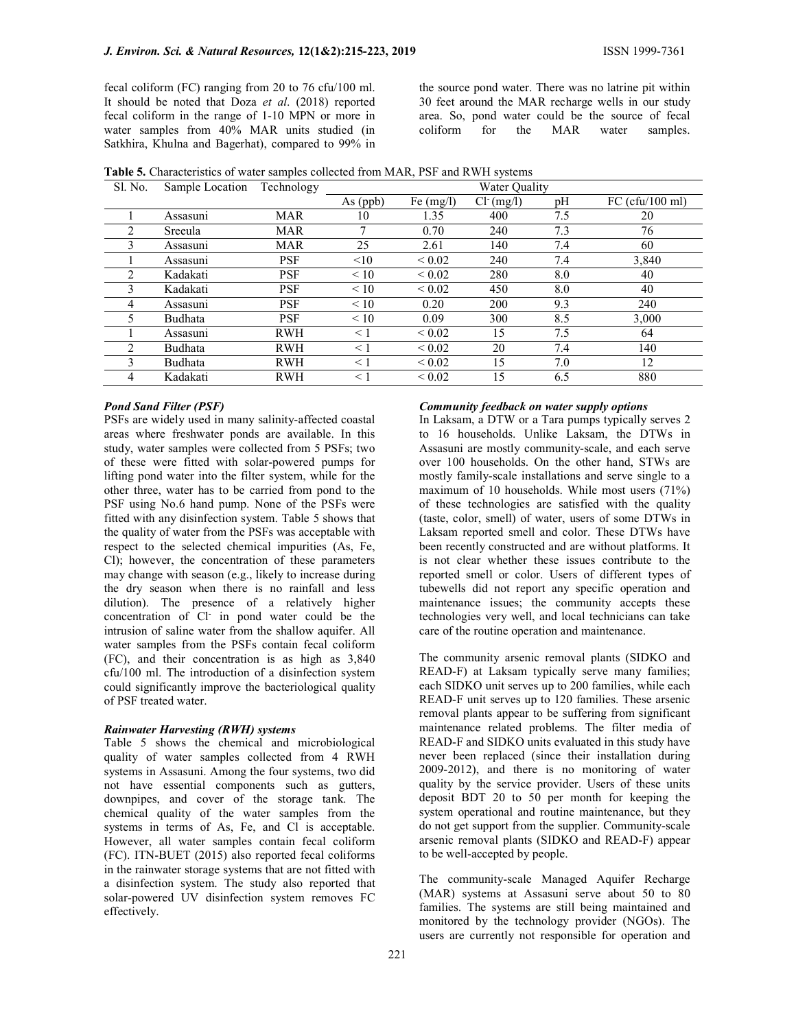the source pond water. There was no latrine pit within 30 feet around the MAR recharge wells in our study area. So, pond water could be the source of fecal coliform for the MAR water samples.

Table 5. Characteristics of water samples collected from MAR, PSF and RWH systems

| Sl. No.        | Sample Location | Technology | Water Quality |                  |               |     |                   |  |
|----------------|-----------------|------------|---------------|------------------|---------------|-----|-------------------|--|
|                |                 |            | $As$ (ppb)    | Fe $(mg/l)$      | $Cl^{(mg/l)}$ | pH  | $FC$ (cfu/100 ml) |  |
|                | Assasuni        | MAR        | 10            | 1.35             | 400           | 7.5 | 20                |  |
| 2              | Sreeula         | <b>MAR</b> | 7             | 0.70             | 240           | 7.3 | 76                |  |
| 3              | Assasuni        | MAR        | 25            | 2.61             | 140           | 7.4 | 60                |  |
|                | Assasuni        | <b>PSF</b> | <10           | ${}< 0.02$       | 240           | 7.4 | 3,840             |  |
| $\mathfrak{D}$ | Kadakati        | PSF        | $\leq 10$     | ${}< 0.02$       | 280           | 8.0 | 40                |  |
| 3              | Kadakati        | <b>PSF</b> | $\leq 10$     | ${}_{0.02}$      | 450           | 8.0 | 40                |  |
| 4              | Assasuni        | <b>PSF</b> | < 10          | 0.20             | 200           | 9.3 | 240               |  |
| 5              | Budhata         | <b>PSF</b> | < 10          | 0.09             | 300           | 8.5 | 3,000             |  |
|                | Assasuni        | <b>RWH</b> | $\leq 1$      | ${}< 0.02$       | 15            | 7.5 | 64                |  |
| $\mathfrak{D}$ | Budhata         | <b>RWH</b> | $\leq$ 1      | ${}< 0.02$       | 20            | 7.4 | 140               |  |
| 3              | Budhata         | <b>RWH</b> | $\leq 1$      | ${}_{\leq 0.02}$ | 15            | 7.0 | 12                |  |
| 4              | Kadakati        | RWH        | $\leq 1$      | ${}_{0.02}$      | 15            | 6.5 | 880               |  |

# Pond Sand Filter (PSF)

PSFs are widely used in many salinity-affected coastal areas where freshwater ponds are available. In this study, water samples were collected from 5 PSFs; two of these were fitted with solar-powered pumps for lifting pond water into the filter system, while for the other three, water has to be carried from pond to the PSF using No.6 hand pump. None of the PSFs were fitted with any disinfection system. Table 5 shows that the quality of water from the PSFs was acceptable with respect to the selected chemical impurities (As, Fe, Cl); however, the concentration of these parameters may change with season (e.g., likely to increase during the dry season when there is no rainfall and less dilution). The presence of a relatively higher concentration of Cl- in pond water could be the intrusion of saline water from the shallow aquifer. All water samples from the PSFs contain fecal coliform (FC), and their concentration is as high as 3,840 cfu/100 ml. The introduction of a disinfection system could significantly improve the bacteriological quality of PSF treated water.

#### Rainwater Harvesting (RWH) systems

Table 5 shows the chemical and microbiological quality of water samples collected from 4 RWH systems in Assasuni. Among the four systems, two did not have essential components such as gutters, downpipes, and cover of the storage tank. The chemical quality of the water samples from the systems in terms of As, Fe, and Cl is acceptable. However, all water samples contain fecal coliform (FC). ITN-BUET (2015) also reported fecal coliforms in the rainwater storage systems that are not fitted with a disinfection system. The study also reported that solar-powered UV disinfection system removes FC effectively.

### Community feedback on water supply options

In Laksam, a DTW or a Tara pumps typically serves 2 to 16 households. Unlike Laksam, the DTWs in Assasuni are mostly community-scale, and each serve over 100 households. On the other hand, STWs are mostly family-scale installations and serve single to a maximum of 10 households. While most users (71%) of these technologies are satisfied with the quality (taste, color, smell) of water, users of some DTWs in Laksam reported smell and color. These DTWs have been recently constructed and are without platforms. It is not clear whether these issues contribute to the reported smell or color. Users of different types of tubewells did not report any specific operation and maintenance issues; the community accepts these technologies very well, and local technicians can take care of the routine operation and maintenance.

The community arsenic removal plants (SIDKO and READ-F) at Laksam typically serve many families; each SIDKO unit serves up to 200 families, while each READ-F unit serves up to 120 families. These arsenic removal plants appear to be suffering from significant maintenance related problems. The filter media of READ-F and SIDKO units evaluated in this study have never been replaced (since their installation during 2009-2012), and there is no monitoring of water quality by the service provider. Users of these units deposit BDT 20 to 50 per month for keeping the system operational and routine maintenance, but they do not get support from the supplier. Community-scale arsenic removal plants (SIDKO and READ-F) appear to be well-accepted by people.

The community-scale Managed Aquifer Recharge (MAR) systems at Assasuni serve about 50 to 80 families. The systems are still being maintained and monitored by the technology provider (NGOs). The users are currently not responsible for operation and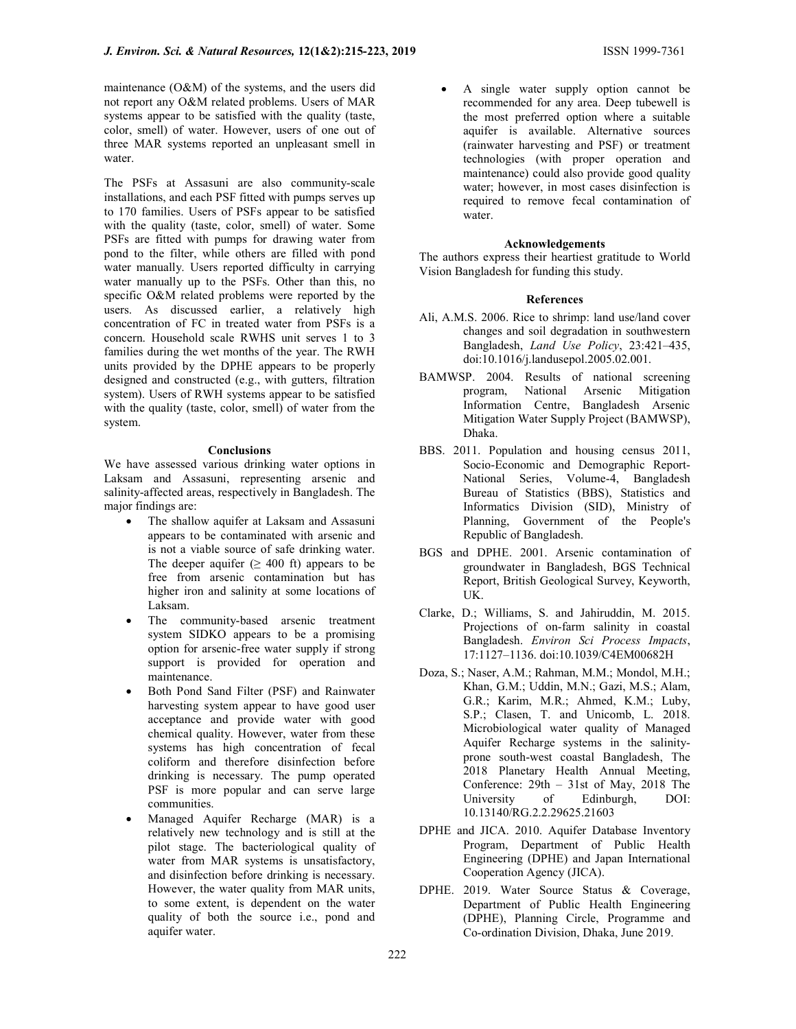maintenance (O&M) of the systems, and the users did not report any O&M related problems. Users of MAR systems appear to be satisfied with the quality (taste, color, smell) of water. However, users of one out of three MAR systems reported an unpleasant smell in water.

The PSFs at Assasuni are also community-scale installations, and each PSF fitted with pumps serves up to 170 families. Users of PSFs appear to be satisfied with the quality (taste, color, smell) of water. Some PSFs are fitted with pumps for drawing water from pond to the filter, while others are filled with pond water manually. Users reported difficulty in carrying water manually up to the PSFs. Other than this, no specific O&M related problems were reported by the users. As discussed earlier, a relatively high concentration of FC in treated water from PSFs is a concern. Household scale RWHS unit serves 1 to 3 families during the wet months of the year. The RWH units provided by the DPHE appears to be properly designed and constructed (e.g., with gutters, filtration system). Users of RWH systems appear to be satisfied with the quality (taste, color, smell) of water from the system.

### **Conclusions**

We have assessed various drinking water options in Laksam and Assasuni, representing arsenic and salinity-affected areas, respectively in Bangladesh. The major findings are:

- The shallow aquifer at Laksam and Assasuni appears to be contaminated with arsenic and is not a viable source of safe drinking water. The deeper aquifer ( $\geq 400$  ft) appears to be free from arsenic contamination but has higher iron and salinity at some locations of Laksam.
- The community-based arsenic treatment system SIDKO appears to be a promising option for arsenic-free water supply if strong support is provided for operation and maintenance.
- Both Pond Sand Filter (PSF) and Rainwater harvesting system appear to have good user acceptance and provide water with good chemical quality. However, water from these systems has high concentration of fecal coliform and therefore disinfection before drinking is necessary. The pump operated PSF is more popular and can serve large communities.
- Managed Aquifer Recharge (MAR) is a relatively new technology and is still at the pilot stage. The bacteriological quality of water from MAR systems is unsatisfactory, and disinfection before drinking is necessary. However, the water quality from MAR units, to some extent, is dependent on the water quality of both the source i.e., pond and aquifer water.

 A single water supply option cannot be recommended for any area. Deep tubewell is the most preferred option where a suitable aquifer is available. Alternative sources (rainwater harvesting and PSF) or treatment technologies (with proper operation and maintenance) could also provide good quality water; however, in most cases disinfection is required to remove fecal contamination of water.

#### Acknowledgements

The authors express their heartiest gratitude to World Vision Bangladesh for funding this study.

### References

- Ali, A.M.S. 2006. Rice to shrimp: land use/land cover changes and soil degradation in southwestern Bangladesh, Land Use Policy, 23:421–435, doi:10.1016/j.landusepol.2005.02.001.
- BAMWSP. 2004. Results of national screening program, National Arsenic Mitigation Information Centre, Bangladesh Arsenic Mitigation Water Supply Project (BAMWSP), Dhaka.
- BBS. 2011. Population and housing census 2011, Socio-Economic and Demographic Report-National Series, Volume-4, Bangladesh Bureau of Statistics (BBS), Statistics and Informatics Division (SID), Ministry of Planning, Government of the People's Republic of Bangladesh.
- BGS and DPHE. 2001. Arsenic contamination of groundwater in Bangladesh, BGS Technical Report, British Geological Survey, Keyworth, UK.
- Clarke, D.; Williams, S. and Jahiruddin, M. 2015. Projections of on-farm salinity in coastal Bangladesh. Environ Sci Process Impacts, 17:1127–1136. doi:10.1039/C4EM00682H
- Doza, S.; Naser, A.M.; Rahman, M.M.; Mondol, M.H.; Khan, G.M.; Uddin, M.N.; Gazi, M.S.; Alam, G.R.; Karim, M.R.; Ahmed, K.M.; Luby, S.P.; Clasen, T. and Unicomb, L. 2018. Microbiological water quality of Managed Aquifer Recharge systems in the salinityprone south-west coastal Bangladesh, The 2018 Planetary Health Annual Meeting, Conference: 29th – 31st of May, 2018 The University of Edinburgh, DOI: 10.13140/RG.2.2.29625.21603
- DPHE and JICA. 2010. Aquifer Database Inventory Program, Department of Public Health Engineering (DPHE) and Japan International Cooperation Agency (JICA).
- DPHE. 2019. Water Source Status & Coverage, Department of Public Health Engineering (DPHE), Planning Circle, Programme and Co-ordination Division, Dhaka, June 2019.